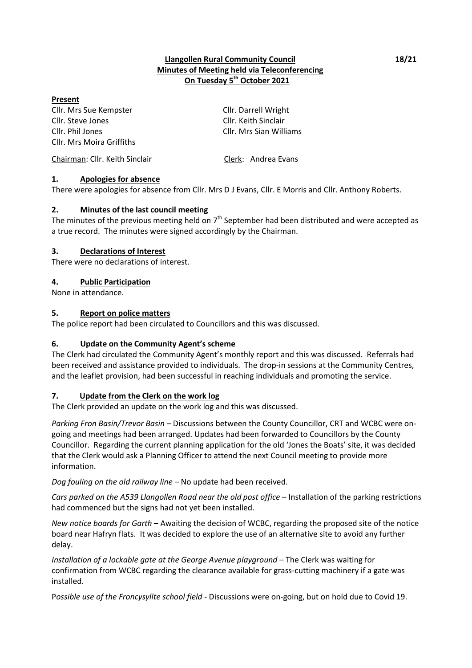### **Llangollen Rural Community Council 18/21 Minutes of Meeting held via Teleconferencing On Tuesday 5 th October 2021**

#### **Present**

Cllr. Mrs Sue Kempster Cllr. Darrell Wright Cllr. Steve Jones Cllr. Keith Sinclair Cllr. Phil Jones Cllr. Mrs Sian Williams Cllr. Mrs Moira Griffiths

Chairman: Cllr. Keith Sinclair Clerk: Andrea Evans

### **1. Apologies for absence**

There were apologies for absence from Cllr. Mrs D J Evans, Cllr. E Morris and Cllr. Anthony Roberts.

### **2. Minutes of the last council meeting**

The minutes of the previous meeting held on  $7<sup>th</sup>$  September had been distributed and were accepted as a true record. The minutes were signed accordingly by the Chairman.

### **3. Declarations of Interest**

There were no declarations of interest.

### **4. Public Participation**

None in attendance.

#### **5. Report on police matters**

The police report had been circulated to Councillors and this was discussed.

### **6. Update on the Community Agent's scheme**

The Clerk had circulated the Community Agent's monthly report and this was discussed. Referrals had been received and assistance provided to individuals. The drop-in sessions at the Community Centres, and the leaflet provision, had been successful in reaching individuals and promoting the service.

### **7. Update from the Clerk on the work log**

The Clerk provided an update on the work log and this was discussed.

*Parking Fron Basin/Trevor Basin* – Discussions between the County Councillor, CRT and WCBC were ongoing and meetings had been arranged. Updates had been forwarded to Councillors by the County Councillor. Regarding the current planning application for the old 'Jones the Boats' site, it was decided that the Clerk would ask a Planning Officer to attend the next Council meeting to provide more information.

*Dog fouling on the old railway line* – No update had been received.

*Cars parked on the A539 Llangollen Road near the old post office* – Installation of the parking restrictions had commenced but the signs had not yet been installed.

*New notice boards for Garth* – Awaiting the decision of WCBC, regarding the proposed site of the notice board near Hafryn flats. It was decided to explore the use of an alternative site to avoid any further delay.

*Installation of a lockable gate at the George Avenue playground* – The Clerk was waiting for confirmation from WCBC regarding the clearance available for grass-cutting machinery if a gate was installed.

P*ossible use of the Froncysyllte school field* - Discussions were on-going, but on hold due to Covid 19.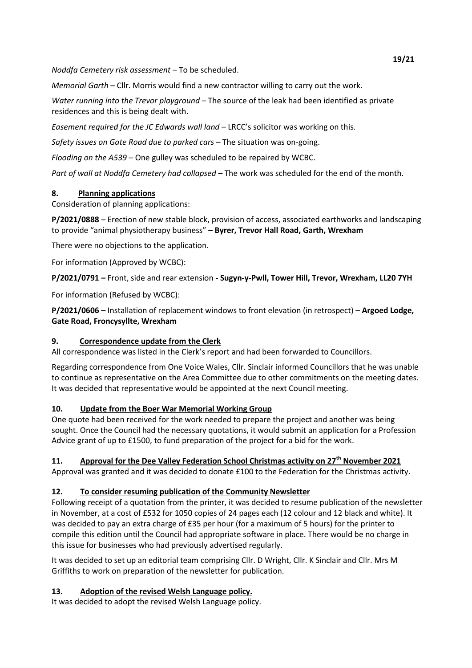*Noddfa Cemetery risk assessment –* To be scheduled.

*Memorial Garth* – Cllr. Morris would find a new contractor willing to carry out the work.

*Water running into the Trevor playground* – The source of the leak had been identified as private residences and this is being dealt with.

*Easement required for the JC Edwards wall land* – LRCC's solicitor was working on this.

*Safety issues on Gate Road due to parked cars* – The situation was on-going.

*Flooding on the A539* – One gulley was scheduled to be repaired by WCBC.

*Part of wall at Noddfa Cemetery had collapsed* – The work was scheduled for the end of the month.

# **8. Planning applications**

Consideration of planning applications:

**P/2021/0888** – Erection of new stable block, provision of access, associated earthworks and landscaping to provide "animal physiotherapy business" – **Byrer, Trevor Hall Road, Garth, Wrexham**

There were no objections to the application.

For information (Approved by WCBC):

**P/2021/0791 –** Front, side and rear extension **- Sugyn-y-Pwll, Tower Hill, Trevor, Wrexham, LL20 7YH** 

For information (Refused by WCBC):

**P/2021/0606 –** Installation of replacement windows to front elevation (in retrospect) – **Argoed Lodge, Gate Road, Froncysyllte, Wrexham** 

# **9. Correspondence update from the Clerk**

All correspondence was listed in the Clerk's report and had been forwarded to Councillors.

Regarding correspondence from One Voice Wales, Cllr. Sinclair informed Councillors that he was unable to continue as representative on the Area Committee due to other commitments on the meeting dates. It was decided that representative would be appointed at the next Council meeting.

# **10. Update from the Boer War Memorial Working Group**

One quote had been received for the work needed to prepare the project and another was being sought. Once the Council had the necessary quotations, it would submit an application for a Profession Advice grant of up to £1500, to fund preparation of the project for a bid for the work.

# **11. Approval for the Dee Valley Federation School Christmas activity on 27th November 2021**

Approval was granted and it was decided to donate £100 to the Federation for the Christmas activity.

# **12. To consider resuming publication of the Community Newsletter**

Following receipt of a quotation from the printer, it was decided to resume publication of the newsletter in November, at a cost of £532 for 1050 copies of 24 pages each (12 colour and 12 black and white). It was decided to pay an extra charge of £35 per hour (for a maximum of 5 hours) for the printer to compile this edition until the Council had appropriate software in place. There would be no charge in this issue for businesses who had previously advertised regularly.

It was decided to set up an editorial team comprising Cllr. D Wright, Cllr. K Sinclair and Cllr. Mrs M Griffiths to work on preparation of the newsletter for publication.

# **13. Adoption of the revised Welsh Language policy.**

It was decided to adopt the revised Welsh Language policy.